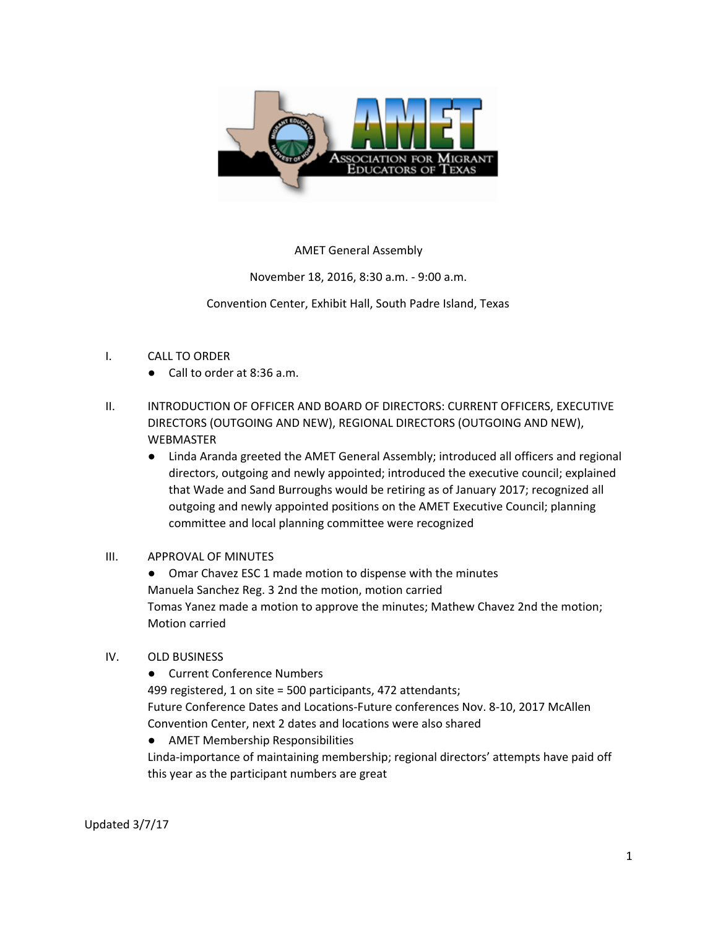

AMET General Assembly

November 18, 2016, 8:30 a.m. - 9:00 a.m.

Convention Center, Exhibit Hall, South Padre Island, Texas

## I. CALL TO ORDER

- Call to order at 8:36 a.m.
- II. INTRODUCTION OF OFFICER AND BOARD OF DIRECTORS: CURRENT OFFICERS, EXECUTIVE DIRECTORS (OUTGOING AND NEW), REGIONAL DIRECTORS (OUTGOING AND NEW), WEBMASTER
	- Linda Aranda greeted the AMET General Assembly; introduced all officers and regional directors, outgoing and newly appointed; introduced the executive council; explained that Wade and Sand Burroughs would be retiring as of January 2017; recognized all outgoing and newly appointed positions on the AMET Executive Council; planning committee and local planning committee were recognized

## III. APPROVAL OF MINUTES

● Omar Chavez ESC 1 made motion to dispense with the minutes Manuela Sanchez Reg. 3 2nd the motion, motion carried Tomas Yanez made a motion to approve the minutes; Mathew Chavez 2nd the motion; Motion carried

- IV. OLD BUSINESS
	- Current Conference Numbers

499 registered, 1 on site = 500 participants, 472 attendants; Future Conference Dates and Locations-Future conferences Nov. 8-10, 2017 McAllen Convention Center, next 2 dates and locations were also shared

● AMET Membership Responsibilities

Linda-importance of maintaining membership; regional directors' attempts have paid off this year as the participant numbers are great